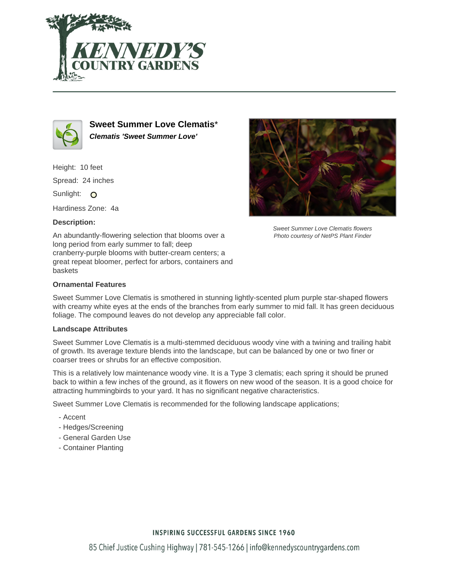



**Sweet Summer Love Clematis**\* **Clematis 'Sweet Summer Love'**

Height: 10 feet

Spread: 24 inches

Sunlight: O

Hardiness Zone: 4a

## **Description:**

An abundantly-flowering selection that blooms over a long period from early summer to fall; deep cranberry-purple blooms with butter-cream centers; a great repeat bloomer, perfect for arbors, containers and baskets



Sweet Summer Love Clematis flowers Photo courtesy of NetPS Plant Finder

## **Ornamental Features**

Sweet Summer Love Clematis is smothered in stunning lightly-scented plum purple star-shaped flowers with creamy white eyes at the ends of the branches from early summer to mid fall. It has green deciduous foliage. The compound leaves do not develop any appreciable fall color.

### **Landscape Attributes**

Sweet Summer Love Clematis is a multi-stemmed deciduous woody vine with a twining and trailing habit of growth. Its average texture blends into the landscape, but can be balanced by one or two finer or coarser trees or shrubs for an effective composition.

This is a relatively low maintenance woody vine. It is a Type 3 clematis; each spring it should be pruned back to within a few inches of the ground, as it flowers on new wood of the season. It is a good choice for attracting hummingbirds to your yard. It has no significant negative characteristics.

Sweet Summer Love Clematis is recommended for the following landscape applications;

- Accent
- Hedges/Screening
- General Garden Use
- Container Planting

### **INSPIRING SUCCESSFUL GARDENS SINCE 1960**